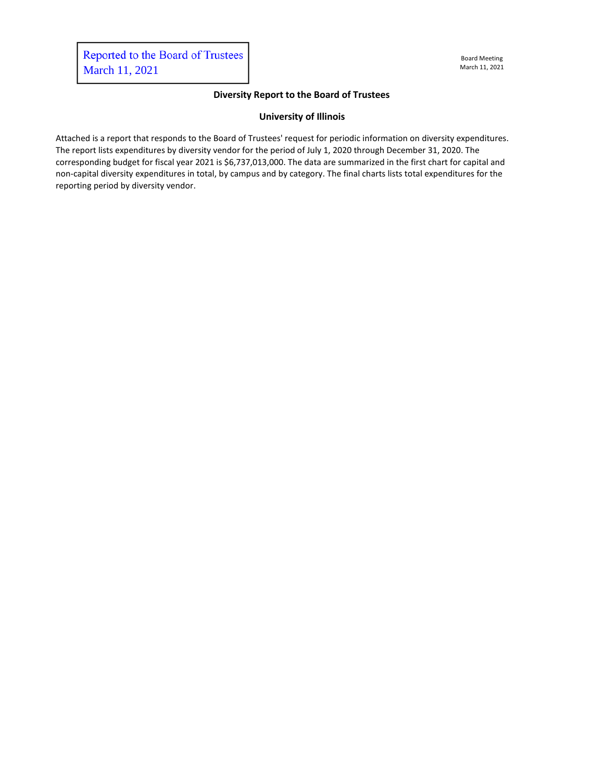## **Diversity Report to the Board of Trustees**

## **University of Illinois**

Attached is a report that responds to the Board of Trustees' request for periodic information on diversity expenditures. The report lists expenditures by diversity vendor for the period of July 1, 2020 through December 31, 2020. The corresponding budget for fiscal year 2021 is \$6,737,013,000. The data are summarized in the first chart for capital and non-capital diversity expenditures in total, by campus and by category. The final charts lists total expenditures for the reporting period by diversity vendor.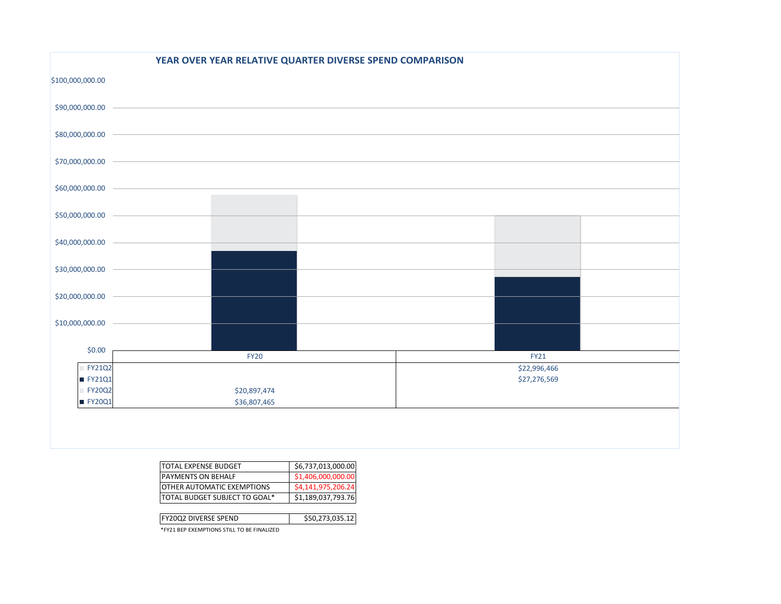|                                    | YEAR OVER YEAR RELATIVE QUARTER DIVERSE SPEND COMPARISON |              |  |  |  |  |  |
|------------------------------------|----------------------------------------------------------|--------------|--|--|--|--|--|
| \$100,000,000.00                   |                                                          |              |  |  |  |  |  |
|                                    |                                                          |              |  |  |  |  |  |
|                                    | $$80,000,000.00$ $\longrightarrow$                       |              |  |  |  |  |  |
|                                    | $$70,000,000.00$ $\qquad \qquad \qquad$                  |              |  |  |  |  |  |
| $$60,000,000.00$ $\longrightarrow$ |                                                          |              |  |  |  |  |  |
|                                    |                                                          |              |  |  |  |  |  |
|                                    |                                                          |              |  |  |  |  |  |
|                                    |                                                          |              |  |  |  |  |  |
|                                    |                                                          |              |  |  |  |  |  |
|                                    |                                                          |              |  |  |  |  |  |
| \$0.00                             | <b>FY20</b>                                              | <b>FY21</b>  |  |  |  |  |  |
| $\overline{P}$ FY21Q2              |                                                          | \$22,996,466 |  |  |  |  |  |
| ■ FY21Q1                           |                                                          | \$27,276,569 |  |  |  |  |  |
| $T$ FY20Q2                         | \$20,897,474                                             |              |  |  |  |  |  |
| FY20Q1                             | \$36,807,465                                             |              |  |  |  |  |  |
|                                    |                                                          |              |  |  |  |  |  |
|                                    |                                                          |              |  |  |  |  |  |
|                                    |                                                          |              |  |  |  |  |  |

| \$6,737,013,000.00 |
|--------------------|
| \$1,406,000,000.00 |
| \$4,141,975,206.24 |
| \$1,189,037,793.76 |
|                    |

| <b>FY20Q2 DIVERSE SPEND</b> | \$50,273,035.12 |
|-----------------------------|-----------------|
|                             |                 |

\*FY21 BEP EXEMPTIONS STILL TO BE FINALIZED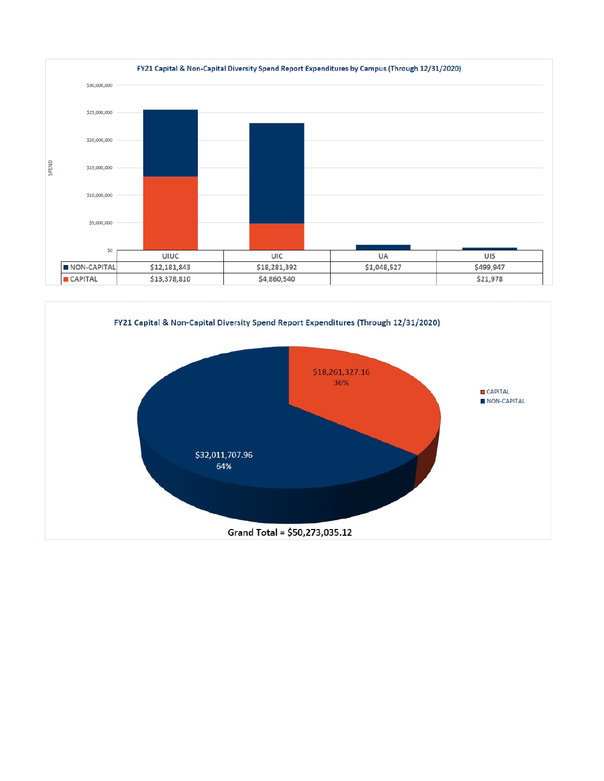

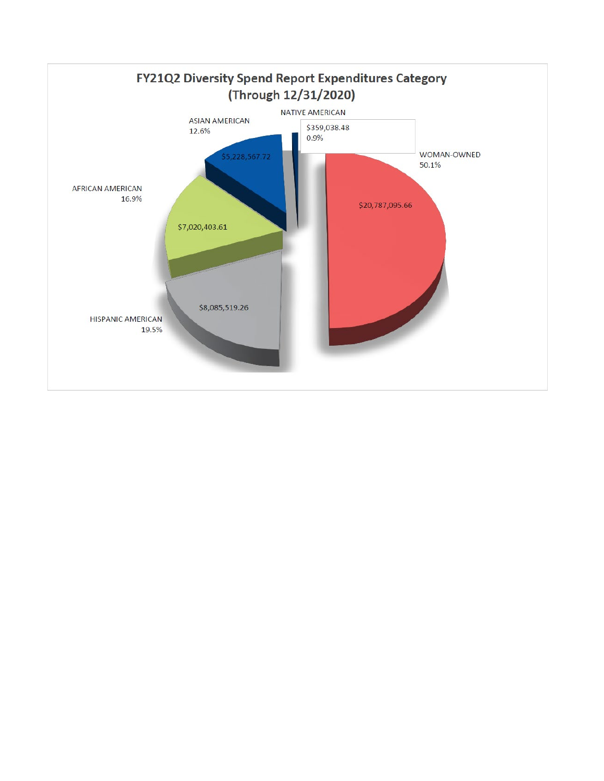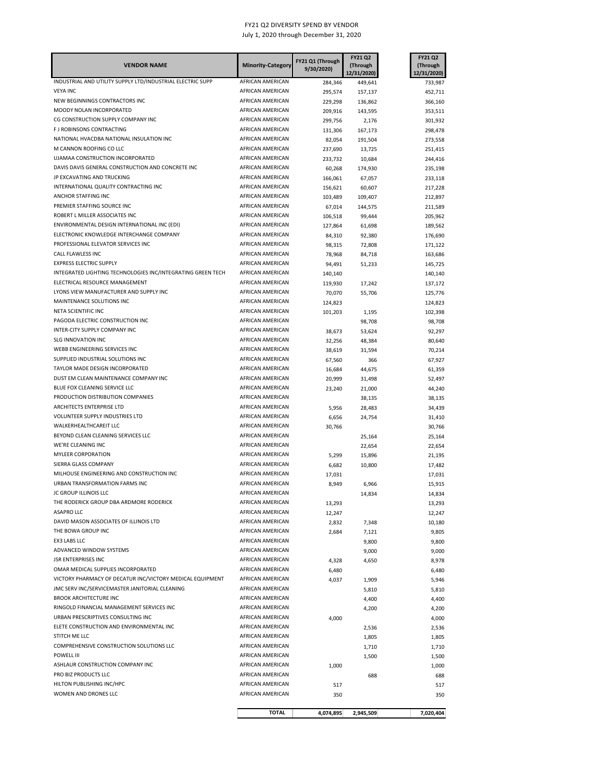| <b>VENDOR NAME</b>                                                          | <b>Minority-Category</b>             | FY21 Q1 (Through<br>9/30/2020) | <b>FY21 Q2</b><br>(Through<br>12/31/2020) | <b>FY21 Q2</b><br>(Through<br>12/31/2020) |
|-----------------------------------------------------------------------------|--------------------------------------|--------------------------------|-------------------------------------------|-------------------------------------------|
| INDUSTRIAL AND UTILITY SUPPLY LTD/INDUSTRIAL ELECTRIC SUPP                  | AFRICAN AMERICAN                     | 284,346                        | 449,641                                   | 733,987                                   |
| <b>VEYA INC</b>                                                             | AFRICAN AMERICAN                     | 295,574                        | 157,137                                   | 452,711                                   |
| NEW BEGINNINGS CONTRACTORS INC                                              | AFRICAN AMERICAN                     | 229,298                        | 136,862                                   | 366,160                                   |
| MOODY NOLAN INCORPORATED                                                    | AFRICAN AMERICAN                     | 209,916                        | 143,595                                   | 353,511                                   |
| CG CONSTRUCTION SUPPLY COMPANY INC                                          | AFRICAN AMERICAN                     | 299,756                        | 2,176                                     | 301,932                                   |
| F J ROBINSONS CONTRACTING                                                   | AFRICAN AMERICAN                     | 131,306                        | 167,173                                   | 298,478                                   |
| NATIONAL HVACDBA NATIONAL INSULATION INC                                    | AFRICAN AMERICAN                     | 82,054                         | 191,504                                   | 273,558                                   |
| M CANNON ROOFING CO LLC<br>UJAMAA CONSTRUCTION INCORPORATED                 | AFRICAN AMERICAN<br>AFRICAN AMERICAN | 237,690                        | 13,725                                    | 251,415                                   |
| DAVIS DAVIS GENERAL CONSTRUCTION AND CONCRETE INC                           | AFRICAN AMERICAN                     | 233,732<br>60,268              | 10,684<br>174,930                         | 244,416<br>235,198                        |
| JP EXCAVATING AND TRUCKING                                                  | AFRICAN AMERICAN                     | 166,061                        | 67,057                                    | 233,118                                   |
| INTERNATIONAL QUALITY CONTRACTING INC                                       | AFRICAN AMERICAN                     | 156,621                        | 60,607                                    | 217,228                                   |
| ANCHOR STAFFING INC                                                         | AFRICAN AMERICAN                     | 103,489                        | 109,407                                   | 212,897                                   |
| PREMIER STAFFING SOURCE INC                                                 | AFRICAN AMERICAN                     | 67,014                         | 144,575                                   | 211,589                                   |
| ROBERT L MILLER ASSOCIATES INC                                              | AFRICAN AMERICAN                     | 106,518                        | 99,444                                    | 205,962                                   |
| ENVIRONMENTAL DESIGN INTERNATIONAL INC (EDI)                                | AFRICAN AMERICAN                     | 127,864                        | 61,698                                    | 189,562                                   |
| ELECTRONIC KNOWLEDGE INTERCHANGE COMPANY                                    | AFRICAN AMERICAN                     | 84,310                         | 92,380                                    | 176,690                                   |
| PROFESSIONAL ELEVATOR SERVICES INC                                          | AFRICAN AMERICAN                     | 98,315                         | 72,808                                    | 171,122                                   |
| CALL FLAWLESS INC                                                           | AFRICAN AMERICAN                     | 78,968                         | 84,718                                    | 163,686                                   |
| <b>EXPRESS ELECTRIC SUPPLY</b>                                              | AFRICAN AMERICAN                     | 94,491                         | 51,233                                    | 145,725                                   |
| INTEGRATED LIGHTING TECHNOLOGIES INC/INTEGRATING GREEN TECH                 | AFRICAN AMERICAN                     | 140,140                        |                                           | 140,140                                   |
| ELECTRICAL RESOURCE MANAGEMENT                                              | AFRICAN AMERICAN                     | 119,930                        | 17,242                                    | 137,172                                   |
| LYONS VIEW MANUFACTURER AND SUPPLY INC                                      | AFRICAN AMERICAN                     | 70,070                         | 55,706                                    | 125,776                                   |
| MAINTENANCE SOLUTIONS INC                                                   | AFRICAN AMERICAN                     | 124,823                        |                                           | 124,823                                   |
| NETA SCIENTIFIC INC<br>PAGODA ELECTRIC CONSTRUCTION INC                     | AFRICAN AMERICAN                     | 101,203                        | 1,195                                     | 102,398                                   |
| INTER-CITY SUPPLY COMPANY INC                                               | AFRICAN AMERICAN<br>AFRICAN AMERICAN |                                | 98,708                                    | 98,708                                    |
| <b>SLG INNOVATION INC</b>                                                   | AFRICAN AMERICAN                     | 38,673                         | 53,624                                    | 92,297                                    |
| WEBB ENGINEERING SERVICES INC                                               | AFRICAN AMERICAN                     | 32,256<br>38,619               | 48,384<br>31,594                          | 80,640<br>70,214                          |
| SUPPLIED INDUSTRIAL SOLUTIONS INC                                           | AFRICAN AMERICAN                     | 67,560                         | 366                                       | 67,927                                    |
| TAYLOR MADE DESIGN INCORPORATED                                             | AFRICAN AMERICAN                     | 16,684                         | 44,675                                    | 61,359                                    |
| DUST EM CLEAN MAINTENANCE COMPANY INC                                       | AFRICAN AMERICAN                     | 20,999                         | 31,498                                    | 52,497                                    |
| BLUE FOX CLEANING SERVICE LLC                                               | AFRICAN AMERICAN                     | 23,240                         | 21,000                                    | 44,240                                    |
| PRODUCTION DISTRIBUTION COMPANIES                                           | AFRICAN AMERICAN                     |                                | 38,135                                    | 38,135                                    |
| ARCHITECTS ENTERPRISE LTD                                                   | AFRICAN AMERICAN                     | 5,956                          | 28,483                                    | 34,439                                    |
| VOLUNTEER SUPPLY INDUSTRIES LTD                                             | AFRICAN AMERICAN                     | 6,656                          | 24,754                                    | 31,410                                    |
| WALKERHEALTHCAREIT LLC                                                      | AFRICAN AMERICAN                     | 30,766                         |                                           | 30,766                                    |
| BEYOND CLEAN CLEANING SERVICES LLC                                          | AFRICAN AMERICAN                     |                                | 25,164                                    | 25,164                                    |
| WE'RE CLEANING INC                                                          | AFRICAN AMERICAN                     |                                | 22,654                                    | 22,654                                    |
| <b>MYLEER CORPORATION</b>                                                   | AFRICAN AMERICAN                     | 5,299                          | 15,896                                    | 21,195                                    |
| SIERRA GLASS COMPANY                                                        | AFRICAN AMERICAN                     | 6,682                          | 10,800                                    | 17,482                                    |
| MILHOUSE ENGINEERING AND CONSTRUCTION INC<br>URBAN TRANSFORMATION FARMS INC | AFRICAN AMERICAN                     | 17,031                         |                                           | 17,031                                    |
| JC GROUP ILLINOIS LLC                                                       | AFRICAN AMERICAN<br>AFRICAN AMERICAN | 8,949                          | 6,966                                     | 15,915                                    |
| THE RODERICK GROUP DBA ARDMORE RODERICK                                     | AFRICAN AMERICAN                     |                                | 14,834                                    | 14,834                                    |
| <b>ASAPRO LLC</b>                                                           | AFRICAN AMERICAN                     | 13,293<br>12,247               |                                           | 13,293<br>12,247                          |
| DAVID MASON ASSOCIATES OF ILLINOIS LTD                                      | AFRICAN AMERICAN                     | 2,832                          | 7,348                                     | 10,180                                    |
| THE BOWA GROUP INC                                                          | AFRICAN AMERICAN                     | 2,684                          | 7,121                                     | 9,805                                     |
| EX3 LABS LLC                                                                | AFRICAN AMERICAN                     |                                | 9,800                                     | 9,800                                     |
| ADVANCED WINDOW SYSTEMS                                                     | AFRICAN AMERICAN                     |                                | 9,000                                     | 9,000                                     |
| <b>JSR ENTERPRISES INC</b>                                                  | AFRICAN AMERICAN                     | 4,328                          | 4,650                                     | 8,978                                     |
| OMAR MEDICAL SUPPLIES INCORPORATED                                          | AFRICAN AMERICAN                     | 6,480                          |                                           | 6,480                                     |
| VICTORY PHARMACY OF DECATUR INC/VICTORY MEDICAL EQUIPMENT                   | AFRICAN AMERICAN                     | 4,037                          | 1,909                                     | 5,946                                     |
| JMC SERV INC/SERVICEMASTER JANITORIAL CLEANING                              | AFRICAN AMERICAN                     |                                | 5,810                                     | 5,810                                     |
| <b>BROOK ARCHITECTURE INC</b>                                               | AFRICAN AMERICAN                     |                                | 4,400                                     | 4,400                                     |
| RINGOLD FINANCIAL MANAGEMENT SERVICES INC                                   | AFRICAN AMERICAN                     |                                | 4,200                                     | 4,200                                     |
| URBAN PRESCRIPTIVES CONSULTING INC                                          | AFRICAN AMERICAN                     | 4,000                          |                                           | 4,000                                     |
| ELETE CONSTRUCTION AND ENVIRONMENTAL INC                                    | AFRICAN AMERICAN                     |                                | 2,536                                     | 2,536                                     |
| STITCH ME LLC                                                               | AFRICAN AMERICAN                     |                                | 1,805                                     | 1,805                                     |
| COMPREHENSIVE CONSTRUCTION SOLUTIONS LLC                                    | AFRICAN AMERICAN                     |                                | 1,710                                     | 1,710                                     |
| POWELL III                                                                  | AFRICAN AMERICAN                     |                                | 1,500                                     | 1,500                                     |
| ASHLAUR CONSTRUCTION COMPANY INC<br>PRO BIZ PRODUCTS LLC                    | AFRICAN AMERICAN<br>AFRICAN AMERICAN | 1,000                          |                                           | 1,000                                     |
| HILTON PUBLISHING INC/HPC                                                   | AFRICAN AMERICAN                     | 517                            | 688                                       | 688<br>517                                |
| WOMEN AND DRONES LLC                                                        | AFRICAN AMERICAN                     | 350                            |                                           | 350                                       |
|                                                                             |                                      |                                |                                           |                                           |
|                                                                             | <b>TOTAL</b>                         | 4,074,895                      | 2,945,509                                 | 7,020,404                                 |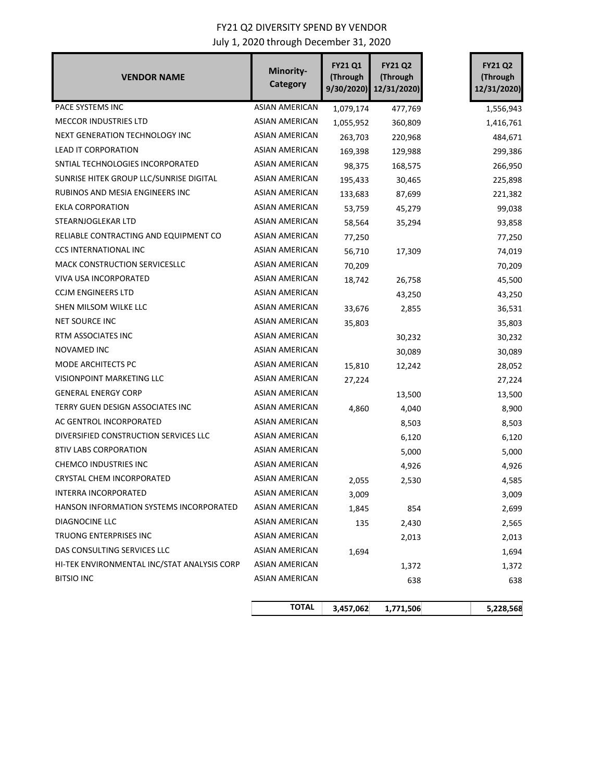| <b>VENDOR NAME</b>                          | Minority-<br><b>Category</b> | <b>FY21 Q1</b><br>(Through<br>9/30/2020) | <b>FY21 Q2</b><br>(Through<br>12/31/2020) | <b>FY21 Q2</b><br>(Through<br>12/31/2020) |
|---------------------------------------------|------------------------------|------------------------------------------|-------------------------------------------|-------------------------------------------|
| PACE SYSTEMS INC                            | <b>ASIAN AMERICAN</b>        | 1,079,174                                | 477,769                                   | 1,556,943                                 |
| <b>MECCOR INDUSTRIES LTD</b>                | ASIAN AMERICAN               | 1,055,952                                | 360,809                                   | 1,416,761                                 |
| NEXT GENERATION TECHNOLOGY INC              | ASIAN AMERICAN               | 263,703                                  | 220,968                                   | 484,671                                   |
| LEAD IT CORPORATION                         | ASIAN AMERICAN               | 169,398                                  | 129,988                                   | 299,386                                   |
| SNTIAL TECHNOLOGIES INCORPORATED            | <b>ASIAN AMERICAN</b>        | 98,375                                   | 168,575                                   | 266,950                                   |
| SUNRISE HITEK GROUP LLC/SUNRISE DIGITAL     | ASIAN AMERICAN               | 195,433                                  | 30,465                                    | 225,898                                   |
| RUBINOS AND MESIA ENGINEERS INC             | ASIAN AMERICAN               | 133,683                                  | 87,699                                    | 221,382                                   |
| EKLA CORPORATION                            | ASIAN AMERICAN               | 53,759                                   | 45,279                                    | 99,038                                    |
| STEARNJOGLEKAR LTD                          | ASIAN AMERICAN               | 58,564                                   | 35,294                                    | 93,858                                    |
| RELIABLE CONTRACTING AND EQUIPMENT CO       | <b>ASIAN AMERICAN</b>        | 77,250                                   |                                           | 77,250                                    |
| <b>CCS INTERNATIONAL INC</b>                | ASIAN AMERICAN               | 56,710                                   | 17,309                                    | 74,019                                    |
| MACK CONSTRUCTION SERVICESLLC               | <b>ASIAN AMERICAN</b>        | 70,209                                   |                                           | 70,209                                    |
| VIVA USA INCORPORATED                       | <b>ASIAN AMERICAN</b>        | 18,742                                   | 26,758                                    | 45,500                                    |
| <b>CCJM ENGINEERS LTD</b>                   | <b>ASIAN AMERICAN</b>        |                                          | 43,250                                    | 43,250                                    |
| SHEN MILSOM WILKE LLC                       | <b>ASIAN AMERICAN</b>        | 33,676                                   | 2,855                                     | 36,531                                    |
| NET SOURCE INC                              | ASIAN AMERICAN               | 35,803                                   |                                           | 35,803                                    |
| RTM ASSOCIATES INC                          | ASIAN AMERICAN               |                                          | 30,232                                    | 30,232                                    |
| NOVAMED INC                                 | ASIAN AMERICAN               |                                          | 30,089                                    | 30,089                                    |
| MODE ARCHITECTS PC                          | ASIAN AMERICAN               | 15,810                                   | 12,242                                    | 28,052                                    |
| VISIONPOINT MARKETING LLC                   | ASIAN AMERICAN               | 27,224                                   |                                           | 27,224                                    |
| <b>GENERAL ENERGY CORP</b>                  | ASIAN AMERICAN               |                                          | 13,500                                    | 13,500                                    |
| TERRY GUEN DESIGN ASSOCIATES INC            | ASIAN AMERICAN               | 4,860                                    | 4,040                                     | 8,900                                     |
| AC GENTROL INCORPORATED                     | ASIAN AMERICAN               |                                          | 8,503                                     | 8,503                                     |
| DIVERSIFIED CONSTRUCTION SERVICES LLC       | <b>ASIAN AMERICAN</b>        |                                          | 6,120                                     | 6,120                                     |
| 8TIV LABS CORPORATION                       | ASIAN AMERICAN               |                                          | 5,000                                     | 5,000                                     |
| <b>CHEMCO INDUSTRIES INC</b>                | ASIAN AMERICAN               |                                          | 4,926                                     | 4,926                                     |
| CRYSTAL CHEM INCORPORATED                   | ASIAN AMERICAN               | 2,055                                    | 2,530                                     | 4,585                                     |
| <b>INTERRA INCORPORATED</b>                 | ASIAN AMERICAN               | 3,009                                    |                                           | 3,009                                     |
| HANSON INFORMATION SYSTEMS INCORPORATED     | ASIAN AMERICAN               | 1,845                                    | 854                                       | 2,699                                     |
| DIAGNOCINE LLC                              | ASIAN AMERICAN               | 135                                      | 2,430                                     | 2,565                                     |
| TRUONG ENTERPRISES INC                      | <b>ASIAN AMERICAN</b>        |                                          | 2,013                                     | 2,013                                     |
| DAS CONSULTING SERVICES LLC                 | ASIAN AMERICAN               | 1,694                                    |                                           | 1,694                                     |
| HI-TEK ENVIRONMENTAL INC/STAT ANALYSIS CORP | ASIAN AMERICAN               |                                          | 1,372                                     | 1,372                                     |
| <b>BITSIO INC</b>                           | ASIAN AMERICAN               |                                          | 638                                       | 638                                       |
|                                             | <b>TOTAL</b>                 | 3,457,062                                | 1,771,506                                 | 5,228,568                                 |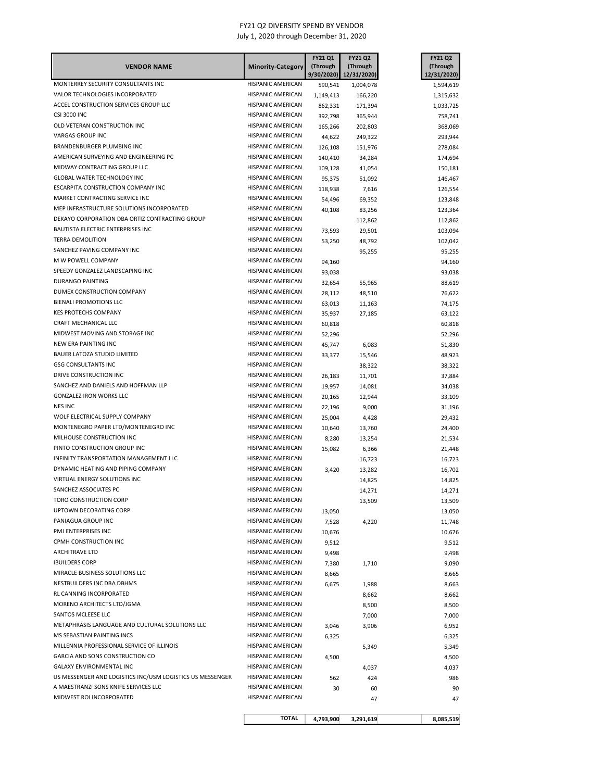| <b>VENDOR NAME</b>                                                    | <b>Minority-Category</b>               | <b>FY21 Q1</b><br>(Through | <b>FY21 Q2</b><br>(Through<br>9/30/2020) 12/31/2020) | <b>FY21 Q2</b><br>(Through<br>12/31/2020) |
|-----------------------------------------------------------------------|----------------------------------------|----------------------------|------------------------------------------------------|-------------------------------------------|
| MONTERREY SECURITY CONSULTANTS INC                                    | <b>HISPANIC AMERICAN</b>               | 590,541                    | 1,004,078                                            | 1,594,619                                 |
| VALOR TECHNOLOGIES INCORPORATED                                       | HISPANIC AMERICAN                      | 1,149,413                  | 166,220                                              | 1,315,632                                 |
| ACCEL CONSTRUCTION SERVICES GROUP LLC                                 | <b>HISPANIC AMERICAN</b>               | 862,331                    | 171,394                                              | 1,033,725                                 |
| <b>CSI 3000 INC</b>                                                   | <b>HISPANIC AMERICAN</b>               | 392,798                    | 365,944                                              | 758,741                                   |
| OLD VETERAN CONSTRUCTION INC                                          | HISPANIC AMERICAN                      | 165,266                    | 202,803                                              | 368,069                                   |
| VARGAS GROUP INC                                                      | HISPANIC AMERICAN                      | 44,622                     | 249,322                                              | 293,944                                   |
| BRANDENBURGER PLUMBING INC                                            | HISPANIC AMERICAN                      | 126,108                    | 151,976                                              | 278,084                                   |
| AMERICAN SURVEYING AND ENGINEERING PC                                 | HISPANIC AMERICAN                      | 140,410                    | 34,284                                               | 174,694                                   |
| MIDWAY CONTRACTING GROUP LLC                                          | <b>HISPANIC AMERICAN</b>               | 109,128                    | 41,054                                               | 150,181                                   |
| GLOBAL WATER TECHNOLOGY INC                                           | <b>HISPANIC AMERICAN</b>               | 95,375                     | 51,092                                               | 146,467                                   |
| ESCARPITA CONSTRUCTION COMPANY INC                                    | <b>HISPANIC AMERICAN</b>               | 118,938                    | 7,616                                                | 126,554                                   |
| MARKET CONTRACTING SERVICE INC                                        | <b>HISPANIC AMERICAN</b>               | 54,496                     | 69,352                                               | 123,848                                   |
| MEP INFRASTRUCTURE SOLUTIONS INCORPORATED                             | <b>HISPANIC AMERICAN</b>               | 40,108                     | 83,256                                               | 123,364                                   |
| DEKAYO CORPORATION DBA ORTIZ CONTRACTING GROUP                        | <b>HISPANIC AMERICAN</b>               |                            | 112,862                                              | 112,862                                   |
| BAUTISTA ELECTRIC ENTERPRISES INC                                     | <b>HISPANIC AMERICAN</b>               | 73,593                     | 29,501                                               | 103,094                                   |
| <b>TERRA DEMOLITION</b>                                               | <b>HISPANIC AMERICAN</b>               | 53,250                     | 48,792                                               | 102,042                                   |
| SANCHEZ PAVING COMPANY INC<br>M W POWELL COMPANY                      | HISPANIC AMERICAN<br>HISPANIC AMERICAN |                            | 95,255                                               | 95,255                                    |
| SPEEDY GONZALEZ LANDSCAPING INC                                       | HISPANIC AMERICAN                      | 94,160                     |                                                      | 94,160                                    |
| <b>DURANGO PAINTING</b>                                               | HISPANIC AMERICAN                      | 93,038                     |                                                      | 93,038                                    |
| DUMEX CONSTRUCTION COMPANY                                            | HISPANIC AMERICAN                      | 32,654                     | 55,965                                               | 88,619                                    |
| <b>BIENALI PROMOTIONS LLC</b>                                         | HISPANIC AMERICAN                      | 28,112                     | 48,510                                               | 76,622                                    |
| <b>KES PROTECHS COMPANY</b>                                           | <b>HISPANIC AMERICAN</b>               | 63,013<br>35,937           | 11,163                                               | 74,175                                    |
| CRAFT MECHANICAL LLC                                                  | HISPANIC AMERICAN                      | 60,818                     | 27,185                                               | 63,122<br>60,818                          |
| MIDWEST MOVING AND STORAGE INC                                        | HISPANIC AMERICAN                      | 52,296                     |                                                      | 52,296                                    |
| NEW ERA PAINTING INC                                                  | HISPANIC AMERICAN                      | 45,747                     | 6,083                                                | 51,830                                    |
| BAUER LATOZA STUDIO LIMITED                                           | HISPANIC AMERICAN                      | 33,377                     | 15,546                                               | 48,923                                    |
| <b>GSG CONSULTANTS INC</b>                                            | <b>HISPANIC AMERICAN</b>               |                            | 38,322                                               | 38,322                                    |
| DRIVE CONSTRUCTION INC                                                | <b>HISPANIC AMERICAN</b>               | 26,183                     | 11,701                                               | 37,884                                    |
| SANCHEZ AND DANIELS AND HOFFMAN LLP                                   | <b>HISPANIC AMERICAN</b>               | 19,957                     | 14,081                                               | 34,038                                    |
| <b>GONZALEZ IRON WORKS LLC</b>                                        | HISPANIC AMERICAN                      | 20,165                     | 12,944                                               | 33,109                                    |
| <b>NES INC</b>                                                        | HISPANIC AMERICAN                      | 22,196                     | 9,000                                                | 31,196                                    |
| WOLF ELECTRICAL SUPPLY COMPANY                                        | HISPANIC AMERICAN                      | 25,004                     | 4,428                                                | 29,432                                    |
| MONTENEGRO PAPER LTD/MONTENEGRO INC                                   | HISPANIC AMERICAN                      | 10,640                     | 13,760                                               | 24,400                                    |
| MILHOUSE CONSTRUCTION INC                                             | HISPANIC AMERICAN                      | 8,280                      | 13,254                                               | 21,534                                    |
| PINTO CONSTRUCTION GROUP INC                                          | HISPANIC AMERICAN                      | 15,082                     | 6,366                                                | 21,448                                    |
| INFINITY TRANSPORTATION MANAGEMENT LLC                                | <b>HISPANIC AMERICAN</b>               |                            | 16,723                                               | 16,723                                    |
| DYNAMIC HEATING AND PIPING COMPANY                                    | HISPANIC AMERICAN                      | 3,420                      | 13,282                                               | 16,702                                    |
| VIRTUAL ENERGY SOLUTIONS INC                                          | HISPANIC AMERICAN                      |                            | 14,825                                               | 14,825                                    |
| SANCHEZ ASSOCIATES PC                                                 | <b>HISPANIC AMERICAN</b>               |                            | 14,271                                               | 14,271                                    |
| TORO CONSTRUCTION CORP                                                | HISPANIC AMERICAN                      |                            | 13,509                                               | 13,509                                    |
| UPTOWN DECORATING CORP                                                | HISPANIC AMERICAN                      | 13,050                     |                                                      | 13,050                                    |
| PANIAGUA GROUP INC                                                    | HISPANIC AMERICAN                      | 7,528                      | 4,220                                                | 11,748                                    |
| PMJ ENTERPRISES INC                                                   | HISPANIC AMERICAN                      | 10,676                     |                                                      | 10,676                                    |
| CPMH CONSTRUCTION INC                                                 | HISPANIC AMERICAN                      | 9,512                      |                                                      | 9,512                                     |
| <b>ARCHITRAVE LTD</b>                                                 | HISPANIC AMERICAN                      | 9,498                      |                                                      | 9,498                                     |
| <b>IBUILDERS CORP</b>                                                 | HISPANIC AMERICAN                      | 7,380                      | 1,710                                                | 9,090                                     |
| MIRACLE BUSINESS SOLUTIONS LLC                                        | HISPANIC AMERICAN                      | 8,665                      |                                                      | 8,665                                     |
| NESTBUILDERS INC DBA DBHMS                                            | HISPANIC AMERICAN                      | 6,675                      | 1,988                                                | 8,663                                     |
| RL CANNING INCORPORATED                                               | HISPANIC AMERICAN                      |                            | 8,662                                                | 8,662                                     |
| MORENO ARCHITECTS LTD/JGMA                                            | HISPANIC AMERICAN                      |                            | 8,500                                                | 8,500                                     |
| SANTOS MCLEESE LLC<br>METAPHRASIS LANGUAGE AND CULTURAL SOLUTIONS LLC | HISPANIC AMERICAN<br>HISPANIC AMERICAN |                            | 7,000                                                | 7,000                                     |
| MS SEBASTIAN PAINTING INCS                                            | HISPANIC AMERICAN                      | 3,046                      | 3,906                                                | 6,952                                     |
| MILLENNIA PROFESSIONAL SERVICE OF ILLINOIS                            | HISPANIC AMERICAN                      | 6,325                      |                                                      | 6,325                                     |
| GARCIA AND SONS CONSTRUCTION CO                                       | HISPANIC AMERICAN                      |                            | 5,349                                                | 5,349                                     |
| GALAXY ENVIRONMENTAL INC                                              | HISPANIC AMERICAN                      | 4,500                      |                                                      | 4,500                                     |
| US MESSENGER AND LOGISTICS INC/USM LOGISTICS US MESSENGER             | HISPANIC AMERICAN                      | 562                        | 4,037<br>424                                         | 4,037<br>986                              |
| A MAESTRANZI SONS KNIFE SERVICES LLC                                  | HISPANIC AMERICAN                      | 30                         | 60                                                   | 90                                        |
| MIDWEST ROI INCORPORATED                                              | HISPANIC AMERICAN                      |                            | 47                                                   | 47                                        |
|                                                                       | <b>TOTAL</b>                           | 4,793,900                  | 3,291,619                                            | 8,085,519                                 |
|                                                                       |                                        |                            |                                                      |                                           |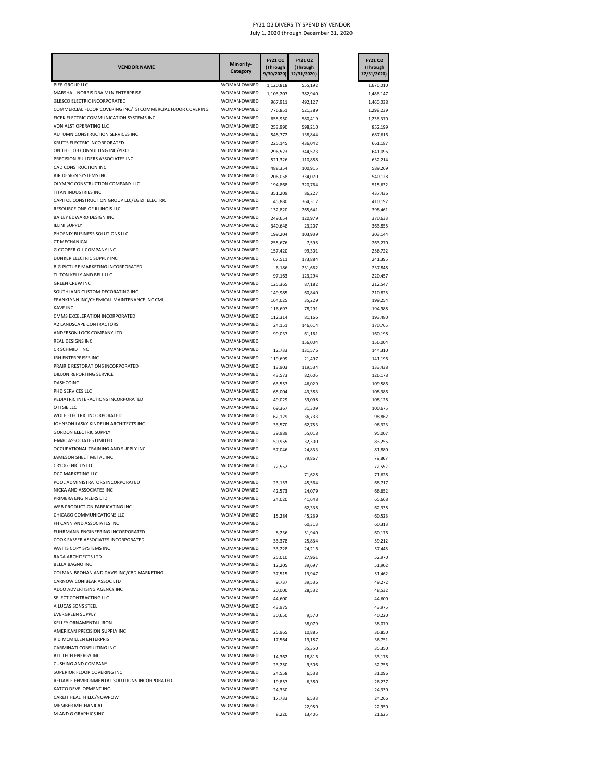| <b>VENDOR NAME</b>                                                 | Minority-<br>Category      | FY21 Q1<br>(Through<br>9/30/2020) | FY21 Q2<br>(Through<br>12/31/2020) | FY21 Q2<br>(Through<br>12/31/2020) |
|--------------------------------------------------------------------|----------------------------|-----------------------------------|------------------------------------|------------------------------------|
| PIER GROUP LLC                                                     | WOMAN-OWNED                | 1,120,818                         | 555,192                            | 1,676,010                          |
| MARSHA L NORRIS DBA MLN ENTERPRISE                                 | WOMAN-OWNED                | 1,103,207                         | 382,940                            | 1,486,147                          |
| <b>GLESCO ELECTRIC INCORPORATED</b>                                | WOMAN-OWNED                | 967,911                           | 492,127                            | 1,460,038                          |
| COMMERCIAL FLOOR COVERING INC/TSI COMMERCIAL FLOOR COVERING        | WOMAN-OWNED                | 776,851                           | 521,389                            | 1,298,239                          |
| FICEK ELECTRIC COMMUNICATION SYSTEMS INC<br>VON ALST OPERATING LLC | WOMAN-OWNED<br>WOMAN-OWNED | 655,950                           | 580,419                            | 1,236,370                          |
| AUTUMN CONSTRUCTION SERVICES INC                                   | WOMAN-OWNED                | 253,990                           | 598,210                            | 852,199                            |
| KRUT'S ELECTRIC INCORPORATED                                       | WOMAN-OWNED                | 548,772<br>225,145                | 138,844<br>436,042                 | 687,616<br>661,187                 |
| ON THE JOB CONSULTING INC/PIXO                                     | WOMAN-OWNED                | 296,523                           | 344,573                            | 641,096                            |
| PRECISION BUILDERS ASSOCIATES INC                                  | WOMAN-OWNED                | 521,326                           | 110,888                            | 632,214                            |
| CAD CONSTRUCTION INC                                               | WOMAN-OWNED                | 488,354                           | 100,915                            | 589,269                            |
| AIR DESIGN SYSTEMS INC                                             | WOMAN-OWNED                | 206,058                           | 334,070                            | 540,128                            |
| OLYMPIC CONSTRUCTION COMPANY LLC                                   | WOMAN-OWNED                | 194,868                           | 320,764                            | 515,632                            |
| TITAN INDUSTRIES INC                                               | WOMAN-OWNED                | 351,209                           | 86,227                             | 437,436                            |
| CAPITOL CONSTRUCTION GROUP LLC/EGIZII ELECTRIC                     | WOMAN-OWNED                | 45,880                            | 364,317                            | 410,197                            |
| RESOURCE ONE OF ILLINOIS LLC                                       | WOMAN-OWNED                | 132,820                           | 265,641                            | 398,461                            |
| BAILEY EDWARD DESIGN INC<br><b>ILLINI SUPPLY</b>                   | WOMAN-OWNED                | 249,654                           | 120,979                            | 370,633                            |
| PHOENIX BUSINESS SOLUTIONS LLC                                     | WOMAN-OWNED<br>WOMAN-OWNED | 340,648                           | 23,207                             | 363,855                            |
| CT MECHANICAL                                                      | WOMAN-OWNED                | 199,204<br>255,676                | 103,939<br>7,595                   | 303,144<br>263,270                 |
| <b>G COOPER OIL COMPANY INC</b>                                    | WOMAN-OWNED                | 157,420                           | 99,301                             | 256,722                            |
| DUNKER ELECTRIC SUPPLY INC                                         | WOMAN-OWNED                | 67,511                            | 173,884                            | 241,395                            |
| BIG PICTURE MARKETING INCORPORATED                                 | WOMAN-OWNED                | 6,186                             | 231,662                            | 237,848                            |
| TILTON KELLY AND BELL LLC                                          | WOMAN-OWNED                | 97,163                            | 123,294                            | 220,457                            |
| <b>GREEN CREW INC</b>                                              | WOMAN-OWNED                | 125,365                           | 87,182                             | 212,547                            |
| SOUTHLAND CUSTOM DECORATING INC                                    | WOMAN-OWNED                | 149,985                           | 60,840                             | 210,825                            |
| FRANKLYNN INC/CHEMICAL MAINTENANCE INC CMI                         | WOMAN-OWNED                | 164,025                           | 35,229                             | 199,254                            |
| <b>KAVE INC</b>                                                    | WOMAN-OWNED                | 116,697                           | 78,291                             | 194,988                            |
| CMMS EXCELERATION INCORPORATED                                     | WOMAN-OWNED                | 112,314                           | 81,166                             | 193,480                            |
| A2 LANDSCAPE CONTRACTORS                                           | WOMAN-OWNED                | 24,151                            | 146,614                            | 170,765                            |
| ANDERSON LOCK COMPANY LTD                                          | WOMAN-OWNED                | 99,037                            | 61,161                             | 160,198                            |
| REAL DESIGNS INC                                                   | WOMAN-OWNED                |                                   | 156,004                            | 156,004                            |
| CR SCHMIDT INC<br>JRH ENTERPRISES INC                              | WOMAN-OWNED<br>WOMAN-OWNED | 12,733                            | 131,576                            | 144,310                            |
| PRAIRIE RESTORATIONS INCORPORATED                                  | WOMAN-OWNED                | 119,699<br>13,903                 | 21,497<br>119,534                  | 141,196<br>133,438                 |
| DILLON REPORTING SERVICE                                           | WOMAN-OWNED                | 43,573                            | 82,605                             | 126,178                            |
| DASHCOINC                                                          | WOMAN-OWNED                | 63,557                            | 46,029                             | 109,586                            |
| PHD SERVICES LLC                                                   | WOMAN-OWNED                | 65,004                            | 43,383                             | 108,386                            |
| PEDIATRIC INTERACTIONS INCORPORATED                                | WOMAN-OWNED                | 49,029                            | 59,098                             | 108,128                            |
| <b>OTTSIE LLC</b>                                                  | WOMAN-OWNED                | 69,367                            | 31,309                             | 100,675                            |
| WOLF ELECTRIC INCORPORATED                                         | WOMAN-OWNED                | 62,129                            | 36,733                             | 98,862                             |
| JOHNSON LASKY KINDELIN ARCHITECTS INC                              | WOMAN-OWNED                | 33,570                            | 62,753                             | 96,323                             |
| <b>GORDON ELECTRIC SUPPLY</b>                                      | WOMAN-OWNED                | 39,989                            | 55,018                             | 95,007                             |
| J-MAC ASSOCIATES LIMITED                                           | WOMAN-OWNED                | 50,955                            | 32,300                             | 83,255                             |
| OCCUPATIONAL TRAINING AND SUPPLY INC                               | WOMAN-OWNED                | 57,046                            | 24,833                             | 81,880                             |
| JAMESON SHEET METAL INC<br>CRYOGENIC US LLC                        | WOMAN-OWNED<br>WOMAN-OWNED |                                   | 79,867                             | 79,867                             |
| DCC MARKETING LLC                                                  | WOMAN-OWNED                | 72,552                            | 71,628                             | 72,552<br>71,628                   |
| POOL ADMINISTRATORS INCORPORATED                                   | WOMAN-OWNED                | 23,153                            | 45,564                             | 68,717                             |
| NICKA AND ASSOCIATES INC                                           | WOMAN-OWNED                | 42,573                            | 24,079                             | 66,652                             |
| PRIMERA ENGINEERS LTD                                              | WOMAN-OWNED                | 24,020                            | 41,648                             | 65,668                             |
| WEB PRODUCTION FABRICATING INC                                     | WOMAN-OWNED                |                                   | 62,338                             | 62,338                             |
| CHICAGO COMMUNICATIONS LLC                                         | WOMAN-OWNED                | 15,284                            | 45,239                             | 60,523                             |
| FH CANN AND ASSOCIATES INC                                         | WOMAN-OWNED                |                                   | 60,313                             | 60,313                             |
| FUHRMANN ENGINEERING INCORPORATED                                  | WOMAN-OWNED                | 8,236                             | 51,940                             | 60,176                             |
| COOK FASSER ASSOCIATES INCORPORATED                                | WOMAN-OWNED                | 33,378                            | 25,834                             | 59,212                             |
| WATTS COPY SYSTEMS INC                                             | WOMAN-OWNED                | 33,228                            | 24,216                             | 57,445                             |
| RADA ARCHITECTS LTD                                                | WOMAN-OWNED                | 25,010                            | 27,961                             | 52,970                             |
| BELLA BAGNO INC<br>COLMAN BROHAN AND DAVIS INC/CBD MARKETING       | WOMAN-OWNED<br>WOMAN-OWNED | 12,205                            | 39,697                             | 51,902                             |
| CARNOW CONIBEAR ASSOC LTD                                          | WOMAN-OWNED                | 37,515<br>9,737                   | 13,947<br>39,536                   | 51,462<br>49,272                   |
| ADCO ADVERTISING AGENCY INC                                        | WOMAN-OWNED                | 20,000                            | 28,532                             | 48,532                             |
| SELECT CONTRACTING LLC                                             | WOMAN-OWNED                | 44,600                            |                                    | 44,600                             |
| A LUCAS SONS STEEL                                                 | WOMAN-OWNED                | 43,975                            |                                    | 43,975                             |
| <b>EVERGREEN SUPPLY</b>                                            | WOMAN-OWNED                | 30,650                            | 9,570                              | 40,220                             |
| KELLEY ORNAMENTAL IRON                                             | WOMAN-OWNED                |                                   | 38,079                             | 38,079                             |
| AMERICAN PRECISION SUPPLY INC                                      | WOMAN-OWNED                | 25,965                            | 10,885                             | 36,850                             |
| R D MCMILLEN ENTERPRIS                                             | WOMAN-OWNED                | 17,564                            | 19,187                             | 36,751                             |
| CARMINATI CONSULTING INC                                           | WOMAN-OWNED                |                                   | 35,350                             | 35,350                             |
| ALL TECH ENERGY INC                                                | WOMAN-OWNED                | 14,362                            | 18,816                             | 33,178                             |
| <b>CUSHING AND COMPANY</b>                                         | WOMAN-OWNED                | 23,250                            | 9,506                              | 32,756                             |
| SUPERIOR FLOOR COVERING INC                                        | WOMAN-OWNED                | 24,558                            | 6,538                              | 31,096                             |
| RELIABLE ENVIRONMENTAL SOLUTIONS INCORPORATED                      | WOMAN-OWNED                | 19,857                            | 6,380                              | 26,237                             |
| KATCO DEVELOPMENT INC<br>CAREIT HEALTH LLC/NOWPOW                  | WOMAN-OWNED<br>WOMAN-OWNED | 24,330                            |                                    | 24,330                             |
| MEMBER MECHANICAL                                                  | WOMAN-OWNED                | 17,733                            | 6,533<br>22,950                    | 24,266<br>22,950                   |
| M AND G GRAPHICS INC                                               | WOMAN-OWNED                | 8,220                             | 13,405                             | 21,625                             |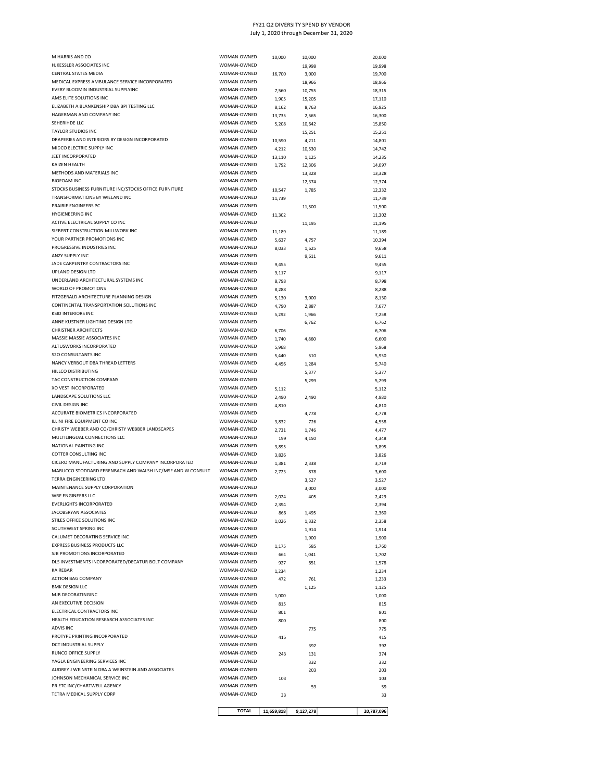| M HARRIS AND CO                                                       | WOMAN-OWNED                | 10,000     | 10,000           | 20,000           |
|-----------------------------------------------------------------------|----------------------------|------------|------------------|------------------|
| HJKESSLER ASSOCIATES INC                                              | WOMAN-OWNED                |            | 19,998           | 19,998           |
| CENTRAL STATES MEDIA                                                  | WOMAN-OWNED                | 16,700     | 3,000            | 19,700           |
| MEDICAL EXPRESS AMBULANCE SERVICE INCORPORATED                        | WOMAN-OWNED                |            |                  | 18,966           |
| EVERY BLOOMIN INDUSTRIAL SUPPLYINC                                    | WOMAN-OWNED                | 7,560      | 18,966<br>10,755 | 18,315           |
| AMS ELITE SOLUTIONS INC                                               | WOMAN-OWNED                | 1,905      |                  |                  |
| ELIZABETH A BLANKENSHIP DBA BPI TESTING LLC                           | WOMAN-OWNED                | 8,162      | 15,205<br>8,763  | 17,110<br>16,925 |
| HAGERMAN AND COMPANY INC                                              | WOMAN-OWNED                | 13,735     | 2,565            | 16,300           |
| SEHERIHDE LLC                                                         | WOMAN-OWNED                | 5,208      |                  | 15,850           |
| <b>TAYLOR STUDIOS INC</b>                                             | WOMAN-OWNED                |            | 10,642<br>15,251 | 15,251           |
| DRAPERIES AND INTERIORS BY DESIGN INCORPORATED                        | WOMAN-OWNED                |            |                  |                  |
| MIDCO ELECTRIC SUPPLY INC                                             | WOMAN-OWNED                | 10,590     | 4,211            | 14,801           |
| JEET INCORPORATED                                                     | WOMAN-OWNED                | 4,212      | 10,530           | 14,742<br>14,235 |
| KAIZEN HEALTH                                                         | WOMAN-OWNED                | 13,110     | 1,125            |                  |
| METHODS AND MATERIALS INC                                             | WOMAN-OWNED                | 1,792      | 12,306           | 14,097           |
| <b>BIOFOAM INC</b>                                                    | WOMAN-OWNED                |            | 13,328           | 13,328           |
| STOCKS BUSINESS FURNITURE INC/STOCKS OFFICE FURNITURE                 | WOMAN-OWNED                |            | 12,374           | 12,374           |
| TRANSFORMATIONS BY WIELAND INC                                        | WOMAN-OWNED                | 10,547     | 1,785            | 12,332           |
| PRAIRIE ENGINEERS PC                                                  | WOMAN-OWNED                | 11,739     |                  | 11,739           |
| <b>HYGIENEERING INC</b>                                               | WOMAN-OWNED                |            | 11,500           | 11,500           |
| ACTIVE ELECTRICAL SUPPLY CO INC                                       | WOMAN-OWNED                | 11,302     |                  | 11,302           |
| SIEBERT CONSTRUCTION MILLWORK INC                                     | WOMAN-OWNED                |            | 11,195           | 11,195           |
| YOUR PARTNER PROMOTIONS INC                                           | WOMAN-OWNED                | 11,189     |                  | 11,189           |
|                                                                       |                            | 5,637      | 4,757            | 10,394           |
| PROGRESSIVE INDUSTRIES INC                                            | WOMAN-OWNED                | 8,033      | 1,625            | 9,658            |
| ANZY SUPPLY INC<br>JADE CARPENTRY CONTRACTORS INC                     | WOMAN-OWNED<br>WOMAN-OWNED |            | 9,611            | 9,611            |
| UPLAND DESIGN LTD                                                     | WOMAN-OWNED                | 9,455      |                  | 9,455            |
| UNDERLAND ARCHITECTURAL SYSTEMS INC                                   | WOMAN-OWNED                | 9,117      |                  | 9,117            |
|                                                                       |                            | 8,798      |                  | 8,798            |
| WORLD OF PROMOTIONS                                                   | WOMAN-OWNED                | 8,288      |                  | 8,288            |
| FITZGERALD ARCHITECTURE PLANNING DESIGN                               | WOMAN-OWNED                | 5,130      | 3,000            | 8,130            |
| CONTINENTAL TRANSPORTATION SOLUTIONS INC<br><b>KSID INTERIORS INC</b> | WOMAN-OWNED                | 4,790      | 2,887            | 7,677            |
|                                                                       | WOMAN-OWNED                | 5,292      | 1,966            | 7,258            |
| ANNE KUSTNER LIGHTING DESIGN LTD                                      | WOMAN-OWNED                |            | 6,762            | 6,762            |
| <b>CHRISTNER ARCHITECTS</b>                                           | WOMAN-OWNED                | 6,706      |                  | 6,706            |
| MASSIE MASSIE ASSOCIATES INC                                          | WOMAN-OWNED                | 1,740      | 4,860            | 6,600            |
| ALTUSWORKS INCORPORATED                                               | WOMAN-OWNED                | 5,968      |                  | 5,968            |
| <b>S2O CONSULTANTS INC</b>                                            | WOMAN-OWNED                | 5,440      | 510              | 5,950            |
| NANCY VERBOUT DBA THREAD LETTERS                                      | WOMAN-OWNED                | 4,456      | 1,284            | 5,740            |
| HILLCO DISTRIBUTING                                                   | WOMAN-OWNED                |            | 5,377            | 5,377            |
| TAC CONSTRUCTION COMPANY                                              | WOMAN-OWNED                |            | 5,299            | 5,299            |
| XO VEST INCORPORATED                                                  | WOMAN-OWNED                | 5,112      |                  | 5,112            |
| LANDSCAPE SOLUTIONS LLC                                               | WOMAN-OWNED                | 2,490      | 2,490            | 4,980            |
| CIVIL DESIGN INC                                                      | WOMAN-OWNED                | 4,810      |                  | 4,810            |
| ACCURATE BIOMETRICS INCORPORATED                                      | WOMAN-OWNED                |            | 4,778            | 4,778            |
| ILLINI FIRE EQUIPMENT CO INC                                          | WOMAN-OWNED                | 3,832      | 726              | 4,558            |
| CHRISTY WEBBER AND CO/CHRISTY WEBBER LANDSCAPES                       | WOMAN-OWNED                | 2,731      | 1,746            | 4,477            |
| MULTILINGUAL CONNECTIONS LLC                                          | WOMAN-OWNED                | 199        | 4,150            | 4,348            |
| NATIONAL PAINTING INC                                                 | WOMAN-OWNED                | 3,895      |                  | 3,895            |
| COTTER CONSULTING INC                                                 | WOMAN-OWNED                | 3,826      |                  | 3,826            |
| CICERO MANUFACTURING AND SUPPLY COMPANY INCORPORATED                  | WOMAN-OWNED                | 1,381      | 2,338            | 3,719            |
| MARUCCO STODDARD FERENBACH AND WALSH INC/MSF AND W CONSULT            | WOMAN-OWNED                | 2,723      | 878              | 3,600            |
| TERRA ENGINEERING LTD                                                 | WOMAN-OWNED                |            | 3,527            | 3,527            |
| MAINTENANCE SUPPLY CORPORATION                                        | WOMAN-OWNED                |            | 3,000            | 3,000            |
| WRF ENGINEERS LLC                                                     | WOMAN-OWNED                | 2,024      | 405              | 2,429            |
| <b>EVERLIGHTS INCORPORATED</b>                                        | WOMAN-OWNED                | 2,394      |                  | 2,394            |
| JACOBSRYAN ASSOCIATES                                                 | WOMAN-OWNED                | 866        | 1,495            | 2,360            |
| STILES OFFICE SOLUTIONS INC                                           | WOMAN-OWNED                | 1,026      | 1,332            | 2,358            |
| SOUTHWEST SPRING INC                                                  | WOMAN-OWNED                |            | 1,914            | 1,914            |
| CALUMET DECORATING SERVICE INC                                        | WOMAN-OWNED                |            | 1,900            | 1,900            |
| EXPRESS BUSINESS PRODUCTS LLC                                         | WOMAN-OWNED                | 1,175      | 585              | 1,760            |
| SJB PROMOTIONS INCORPORATED                                           | WOMAN-OWNED                | 661        | 1,041            | 1,702            |
| DLS INVESTMENTS INCORPORATED/DECATUR BOLT COMPANY                     | WOMAN-OWNED                | 927        | 651              | 1,578            |
| <b>KA REBAR</b>                                                       | WOMAN-OWNED                | 1,234      |                  | 1,234            |
| <b>ACTION BAG COMPANY</b>                                             | WOMAN-OWNED                | 472        | 761              | 1,233            |
| <b>BMK DESIGN LLC</b>                                                 | WOMAN-OWNED                |            | 1,125            | 1,125            |
| MJB DECORATINGINC                                                     | WOMAN-OWNED                | 1,000      |                  | 1,000            |
| AN EXECUTIVE DECISION                                                 | WOMAN-OWNED                | 815        |                  | 815              |
| ELECTRICAL CONTRACTORS INC                                            | WOMAN-OWNED                | 801        |                  | 801              |
| HEALTH EDUCATION RESEARCH ASSOCIATES INC                              | WOMAN-OWNED                | 800        |                  | 800              |
| <b>ADVIS INC</b>                                                      | WOMAN-OWNED                |            | 775              | 775              |
| PROTYPE PRINTING INCORPORATED                                         | WOMAN-OWNED                | 415        |                  | 415              |
| DCT INDUSTRIAL SUPPLY                                                 | WOMAN-OWNED                |            | 392              | 392              |
| RUNCO OFFICE SUPPLY                                                   | WOMAN-OWNED                | 243        | 131              | 374              |
| YAGLA ENGINEERING SERVICES INC                                        | WOMAN-OWNED                |            | 332              | 332              |
| AUDREY J WEINSTEIN DBA A WEINSTEIN AND ASSOCIATES                     | WOMAN-OWNED                |            | 203              | 203              |
| JOHNSON MECHANICAL SERVICE INC                                        | WOMAN-OWNED                | 103        |                  | 103              |
| PR ETC INC/CHARTWELL AGENCY                                           | WOMAN-OWNED                |            | 59               | 59               |
| TETRA MEDICAL SUPPLY CORP                                             | WOMAN-OWNED                | 33         |                  | 33               |
|                                                                       |                            |            |                  |                  |
|                                                                       | <b>TOTAL</b>               | 11,659,818 | 9,127,278        | 20,787,096       |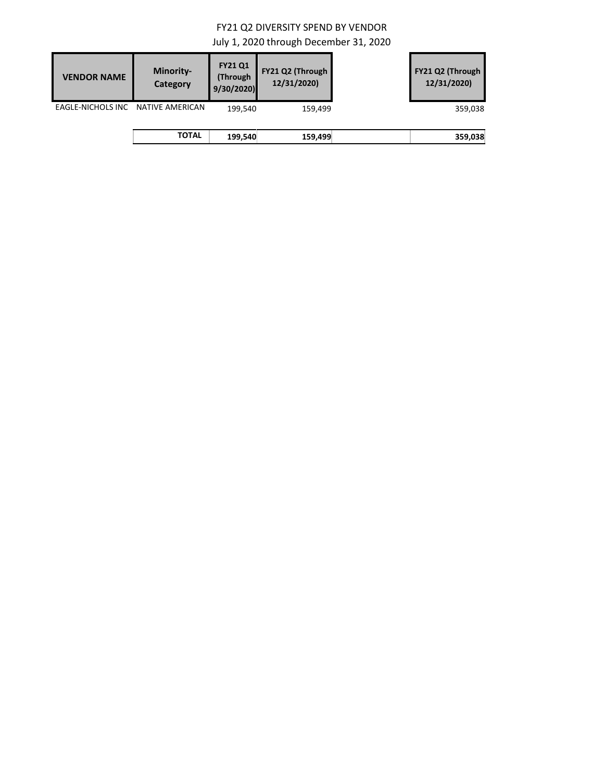| <b>VENDOR NAME</b> | <b>Minority-</b><br>Category | <b>FY21 Q1</b><br>(Through<br>9/30/2020 | FY21 Q2 (Through<br>12/31/2020) | FY21 Q2 (Through<br>12/31/2020) |
|--------------------|------------------------------|-----------------------------------------|---------------------------------|---------------------------------|
| EAGLE-NICHOLS INC  | NATIVE AMERICAN              | 199,540                                 | 159,499                         | 359,038                         |
|                    | <b>TOTAL</b>                 | 199,540                                 | 159,499                         | 359,038                         |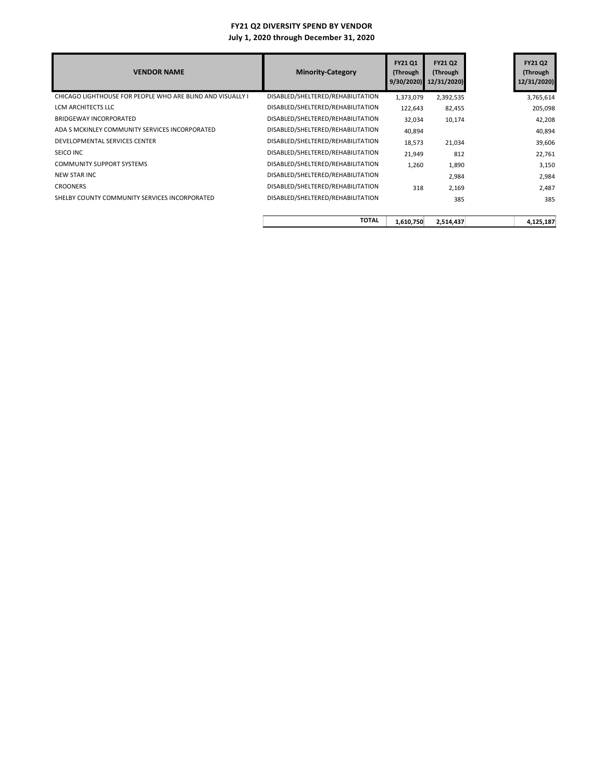| <b>VENDOR NAME</b>                                         | <b>Minority-Category</b>          | <b>FY21 Q1</b><br>(Through<br>9/30/2020 | <b>FY21 Q2</b><br>(Through<br>12/31/2020) | <b>FY21 Q2</b><br>(Through<br>12/31/2020) |
|------------------------------------------------------------|-----------------------------------|-----------------------------------------|-------------------------------------------|-------------------------------------------|
| CHICAGO LIGHTHOUSE FOR PEOPLE WHO ARE BLIND AND VISUALLY I | DISABLED/SHELTERED/REHABILITATION | 1,373,079                               | 2,392,535                                 | 3,765,614                                 |
| LCM ARCHITECTS LLC                                         | DISABLED/SHELTERED/REHABILITATION | 122,643                                 | 82,455                                    | 205,098                                   |
| <b>BRIDGEWAY INCORPORATED</b>                              | DISABLED/SHELTERED/REHABILITATION | 32,034                                  | 10,174                                    | 42,208                                    |
| ADA S MCKINLEY COMMUNITY SERVICES INCORPORATED             | DISABLED/SHELTERED/REHABILITATION | 40,894                                  |                                           | 40,894                                    |
| DEVELOPMENTAL SERVICES CENTER                              | DISABLED/SHELTERED/REHABILITATION | 18,573                                  | 21,034                                    | 39,606                                    |
| SEICO INC                                                  | DISABLED/SHELTERED/REHABILITATION | 21,949                                  | 812                                       | 22,761                                    |
| <b>COMMUNITY SUPPORT SYSTEMS</b>                           | DISABLED/SHELTERED/REHABILITATION | 1,260                                   | 1,890                                     | 3,150                                     |
| <b>NEW STAR INC</b>                                        | DISABLED/SHELTERED/REHABILITATION |                                         | 2,984                                     | 2,984                                     |
| <b>CROONERS</b>                                            | DISABLED/SHELTERED/REHABILITATION | 318                                     | 2,169                                     | 2,487                                     |
| SHELBY COUNTY COMMUNITY SERVICES INCORPORATED              | DISABLED/SHELTERED/REHABILITATION |                                         | 385                                       | 385                                       |
|                                                            | <b>TOTAL</b>                      | 1,610,750                               | 2,514,437                                 | 4,125,187                                 |